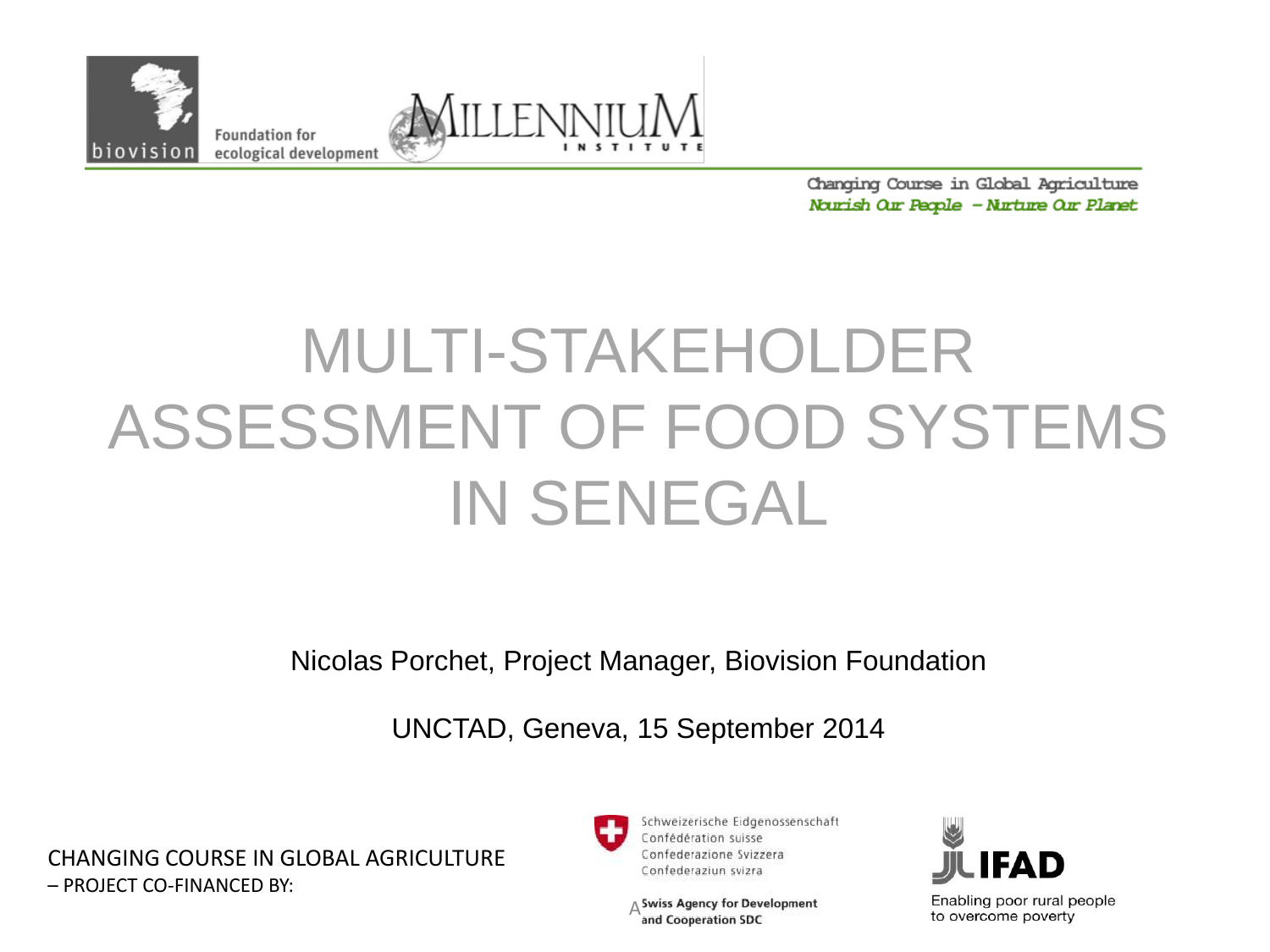

**Foundation for** ecological development



Changing Course in Global Agriculture Nourish Our People - Nurture Our Planet

# MULTI-STAKEHOLDER ASSESSMENT OF FOOD SYSTEMS IN SENEGAL

Nicolas Porchet, Project Manager, Biovision Foundation

UNCTAD, Geneva, 15 September 2014

CHANGING COURSE IN GLOBAL AGRICULTURE – PROJECT CO-FINANCED BY:



Schweizerische Eidgenossenschaft Confédération suisse Confederazione Svizzera Confederaziun svizra

 $\Delta$ Swiss Agency for Development<br>and Cooperation SDC



Enabling poor rural people to overcome poverty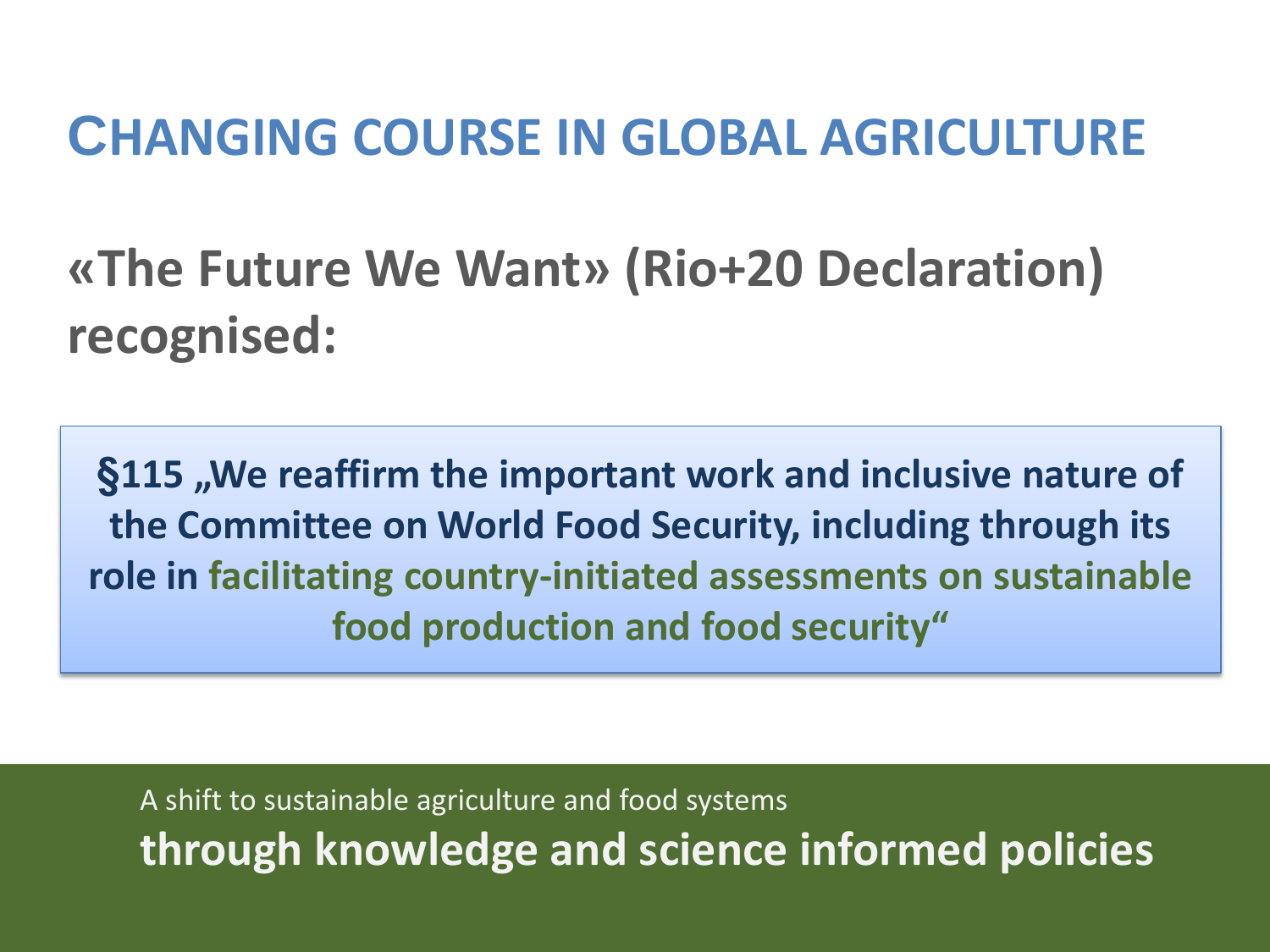#### **CHANGING COURSE IN GLOBAL AGRICULTURE**

**«The Future We Want» (Rio+20 Declaration) recognised:**

**§115 "We reaffirm the important work and inclusive nature of the Committee on World Food Security, including through its role in facilitating country-initiated assessments on sustainable food production and food security"**

A shift to sustainable agriculture and food systems **through knowledge and science informed policies**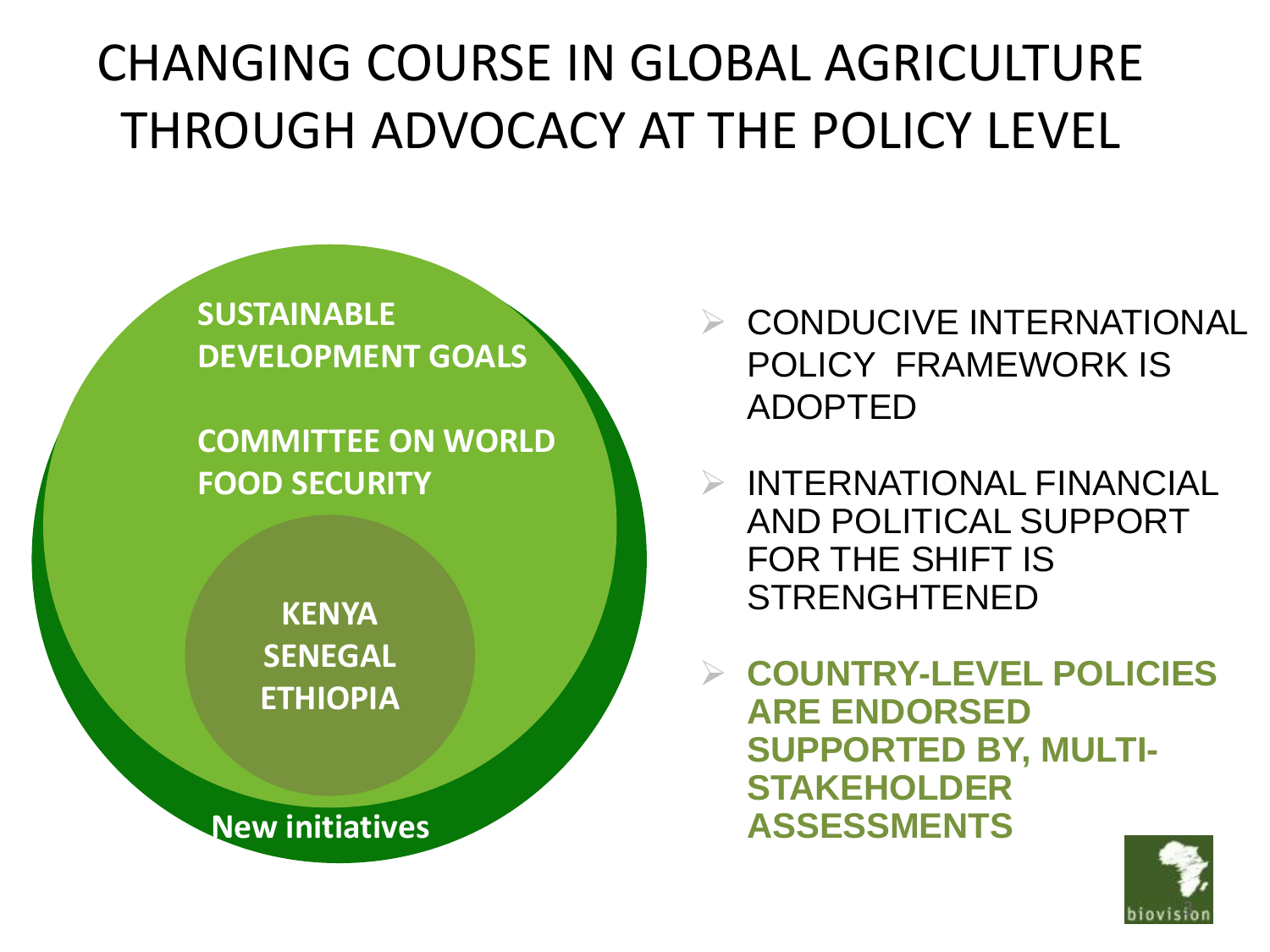### CHANGING COURSE IN GLOBAL AGRICULTURE THROUGH ADVOCACY AT THE POLICY LEVEL

**SUSTAINABLE DEVELOPMENT GOALS**

**COMMITTEE ON WORLD FOOD SECURITY** 

> **KENYA SENEGAL ETHIOPIA**

**New initiatives**

 $\triangleright$  CONDUCIVE INTERNATIONAL POLICY FRAMEWORK IS ADOPTED

 $\triangleright$  INTERNATIONAL FINANCIAL AND POLITICAL SUPPORT FOR THE SHIFT IS STRENGHTENED

 **COUNTRY-LEVEL POLICIES ARE ENDORSED SUPPORTED BY, MULTI-STAKEHOLDER ASSESSMENTS**

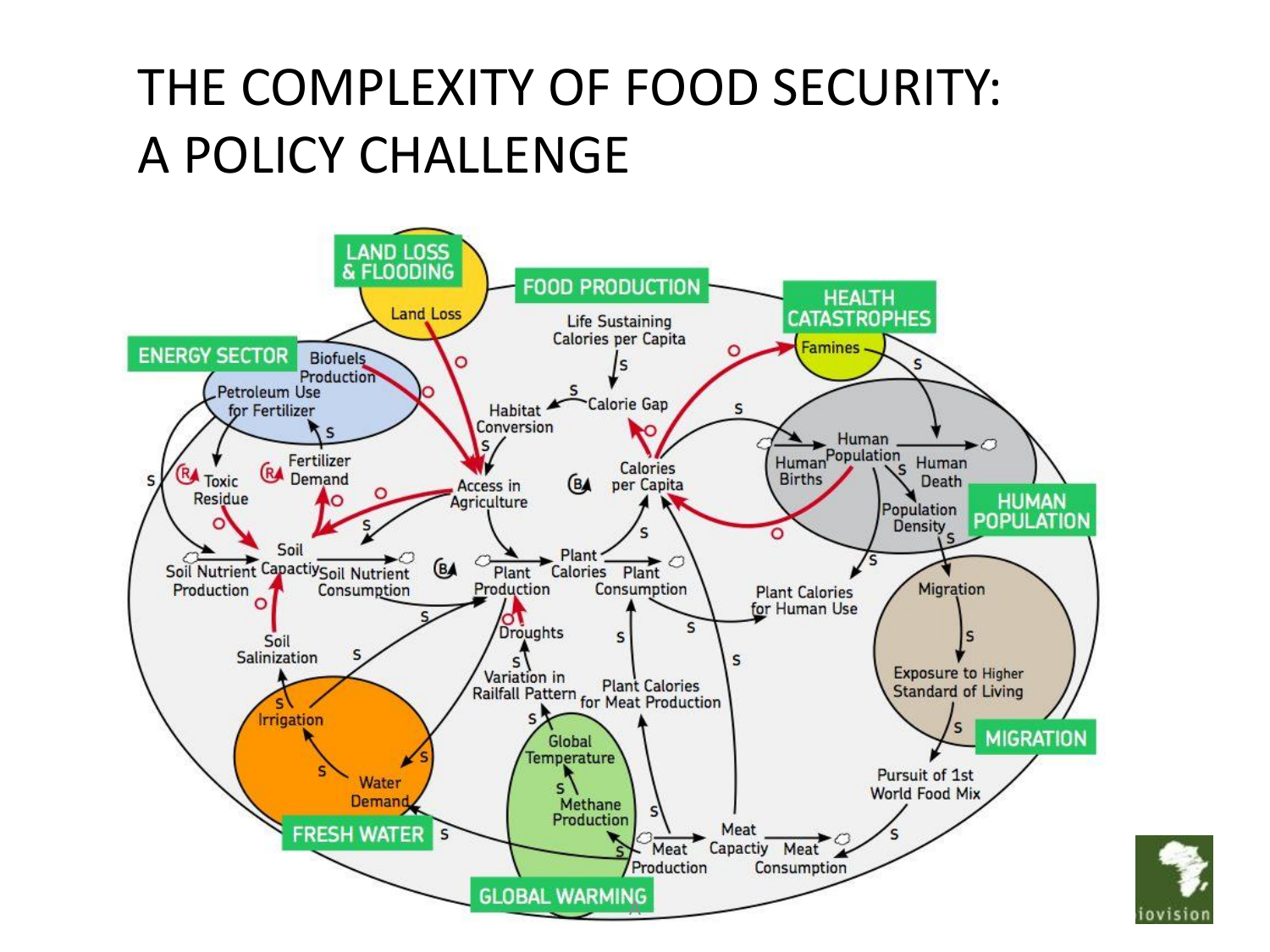### THE COMPLEXITY OF FOOD SECURITY: A POLICY CHALLENGE



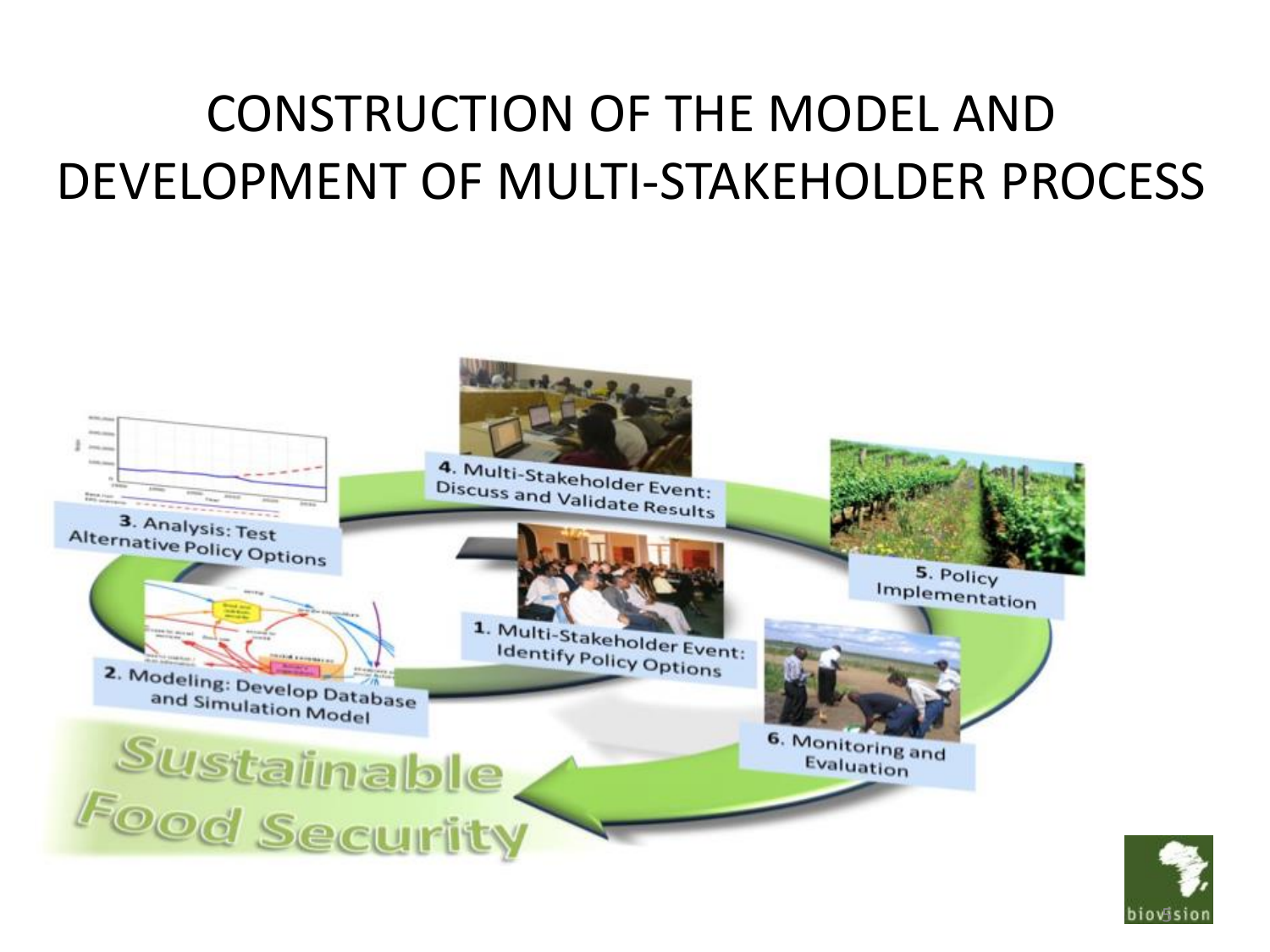### CONSTRUCTION OF THE MODEL AND DEVELOPMENT OF MULTI-STAKEHOLDER PROCESS



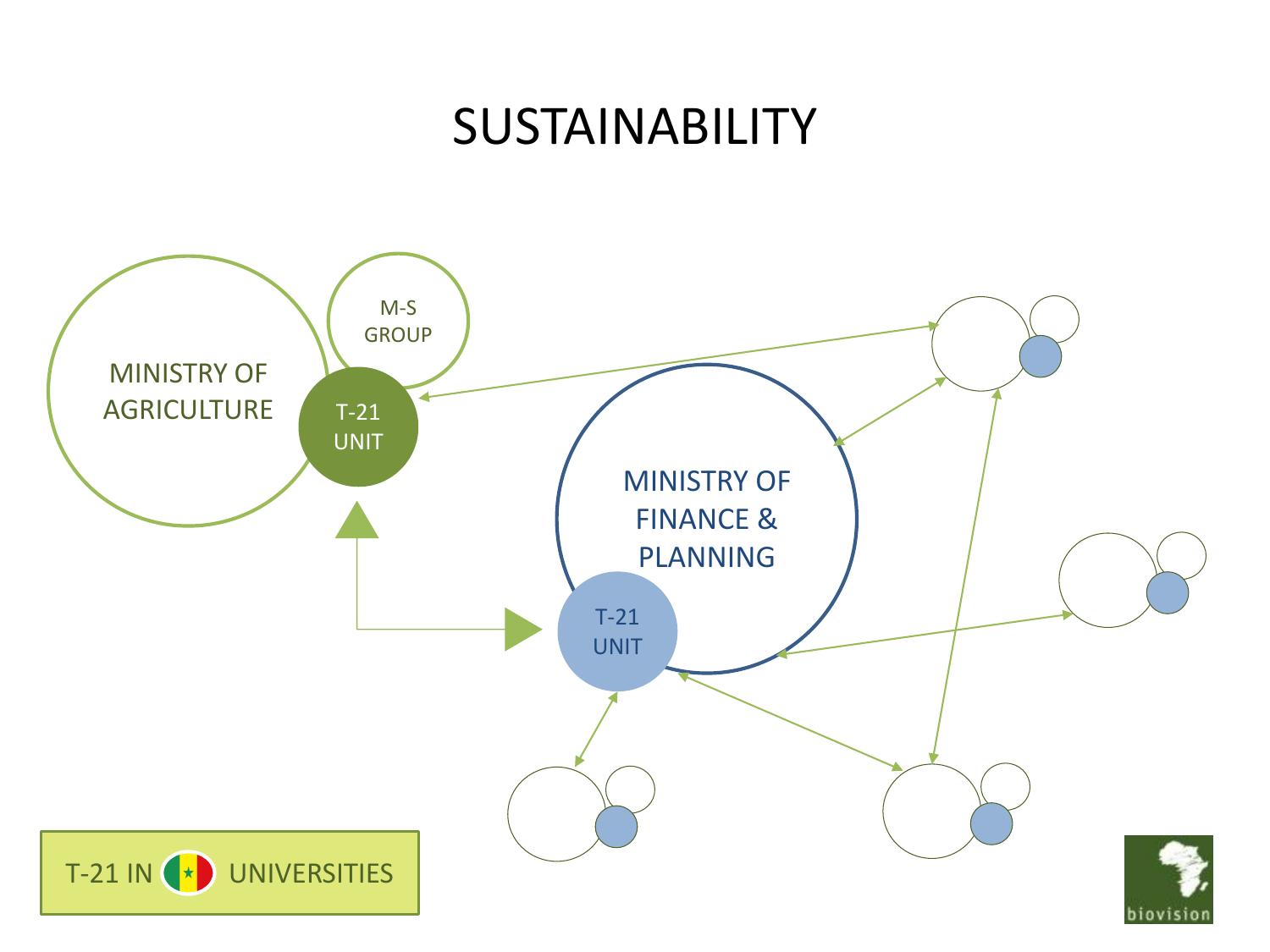#### **SUSTAINABILITY**

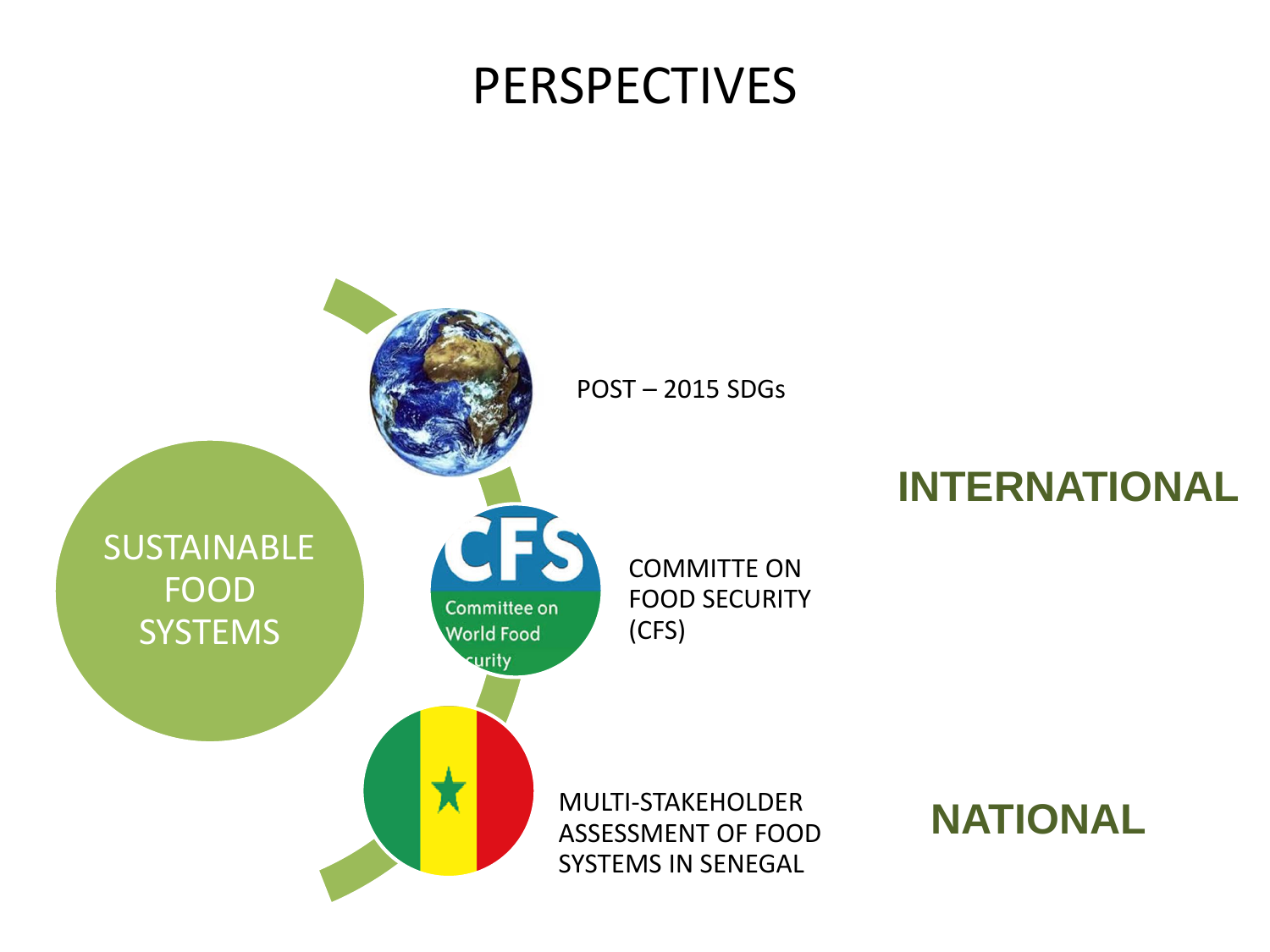#### PERSPECTIVES